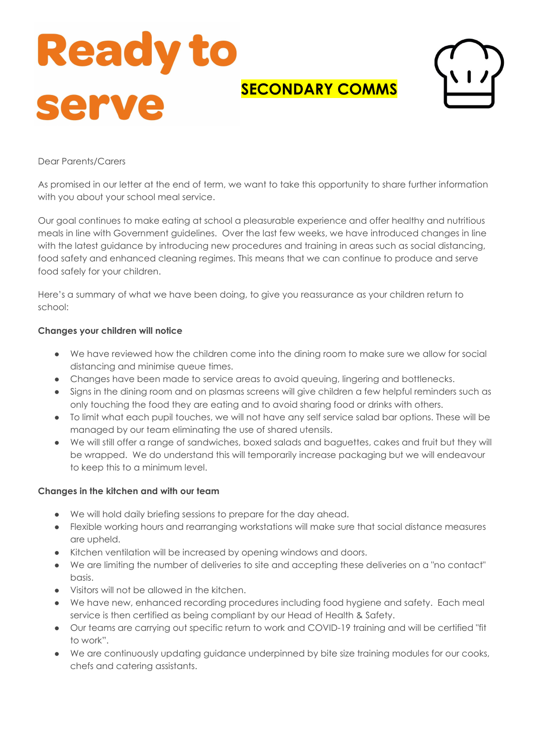# **Ready to SECONDARY COMMS** serv

# Dear Parents/Carers

As promised in our letter at the end of term, we want to take this opportunity to share further information with you about your school meal service.

Our goal continues to make eating at school a pleasurable experience and offer healthy and nutritious meals in line with Government guidelines. Over the last few weeks, we have introduced changes in line with the latest guidance by introducing new procedures and training in areas such as social distancing, food safety and enhanced cleaning regimes. This means that we can continue to produce and serve food safely for your children.

Here's a summary of what we have been doing, to give you reassurance as your children return to school:

## Changes your children will notice

- We have reviewed how the children come into the dining room to make sure we allow for social distancing and minimise queue times.
- Changes have been made to service areas to avoid queuing, lingering and bottlenecks.
- Signs in the dining room and on plasmas screens will give children a few helpful reminders such as only touching the food they are eating and to avoid sharing food or drinks with others.
- To limit what each pupil touches, we will not have any self service salad bar options. These will be managed by our team eliminating the use of shared utensils.
- We will still offer a range of sandwiches, boxed salads and baguettes, cakes and fruit but they will be wrapped. We do understand this will temporarily increase packaging but we will endeavour to keep this to a minimum level.

#### Changes in the kitchen and with our team

- We will hold daily briefing sessions to prepare for the day ahead.
- Flexible working hours and rearranging workstations will make sure that social distance measures are upheld.
- Kitchen ventilation will be increased by opening windows and doors.
- We are limiting the number of deliveries to site and accepting these deliveries on a "no contact" hasis
- Visitors will not be allowed in the kitchen.
- We have new, enhanced recording procedures including food hygiene and safety. Each meal service is then certified as being compliant by our Head of Health & Safety.
- Our teams are carrying out specific return to work and COVID-19 training and will be certified "fit to work".
- We are continuously updating guidance underpinned by bite size training modules for our cooks, chefs and catering assistants.